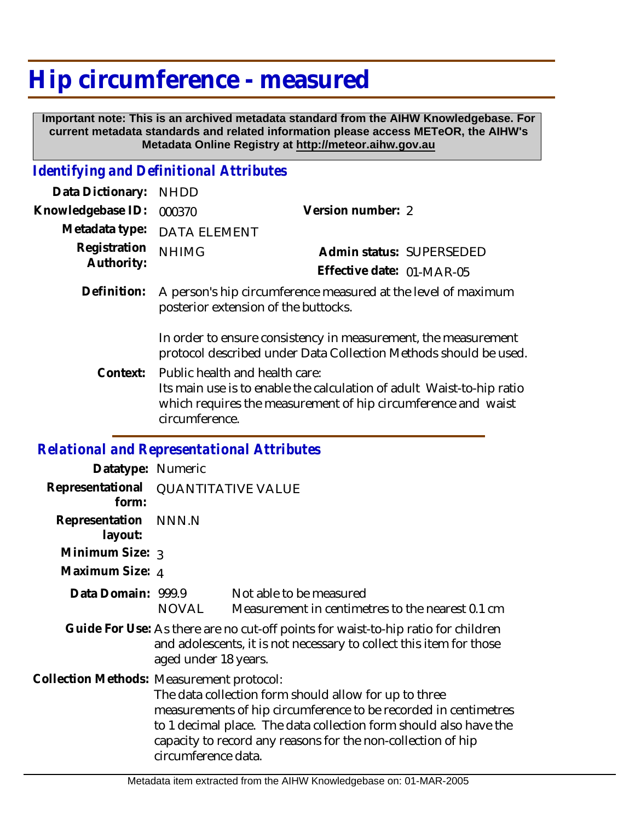## **Hip circumference - measured**

 **Important note: This is an archived metadata standard from the AIHW Knowledgebase. For current metadata standards and related information please access METeOR, the AIHW's Metadata Online Registry at http://meteor.aihw.gov.au**

## *Identifying and Definitional Attributes*

| Data Dictionary:                           | <b>NHDD</b>                                                                                                                                                                                |                                                                                                                                                        |                          |
|--------------------------------------------|--------------------------------------------------------------------------------------------------------------------------------------------------------------------------------------------|--------------------------------------------------------------------------------------------------------------------------------------------------------|--------------------------|
| Knowledgebase ID:                          | 000370                                                                                                                                                                                     | Version number: 2                                                                                                                                      |                          |
| Metadata type:                             | <b>DATA ELEMENT</b>                                                                                                                                                                        |                                                                                                                                                        |                          |
| Registration<br>Authority:                 | <b>NHIMG</b>                                                                                                                                                                               | Effective date: 01-MAR-05                                                                                                                              | Admin status: SUPERSEDED |
| Definition:                                | A person's hip circumference measured at the level of maximum<br>posterior extension of the buttocks.                                                                                      |                                                                                                                                                        |                          |
|                                            | In order to ensure consistency in measurement, the measurement<br>protocol described under Data Collection Methods should be used.                                                         |                                                                                                                                                        |                          |
| Context:                                   | Public health and health care:<br>Its main use is to enable the calculation of adult Waist-to-hip ratio<br>which requires the measurement of hip circumference and waist<br>circumference. |                                                                                                                                                        |                          |
| Relational and Representational Attributes |                                                                                                                                                                                            |                                                                                                                                                        |                          |
| Datatype: Numeric                          |                                                                                                                                                                                            |                                                                                                                                                        |                          |
| Representational<br>form:                  | <b>QUANTITATIVE VALUE</b>                                                                                                                                                                  |                                                                                                                                                        |                          |
| Representation<br>layout:                  | NNN.N                                                                                                                                                                                      |                                                                                                                                                        |                          |
| Minimum Size: 3                            |                                                                                                                                                                                            |                                                                                                                                                        |                          |
| Maximum Size: 4                            |                                                                                                                                                                                            |                                                                                                                                                        |                          |
| Data Domain: 999.9                         | <b>NOVAL</b>                                                                                                                                                                               | Not able to be measured<br>Measurement in centimetres to the nearest 0.1 cm                                                                            |                          |
|                                            |                                                                                                                                                                                            | Guide For Use: As there are no cut-off points for waist-to-hip ratio for children<br>and adologonte it is not pecossary to sollect this item for those |                          |

and adolescents, it is not necessary to collect this item for those aged under 18 years.

Collection Methods: Measurement protocol:

The data collection form should allow for up to three measurements of hip circumference to be recorded in centimetres to 1 decimal place. The data collection form should also have the capacity to record any reasons for the non-collection of hip circumference data.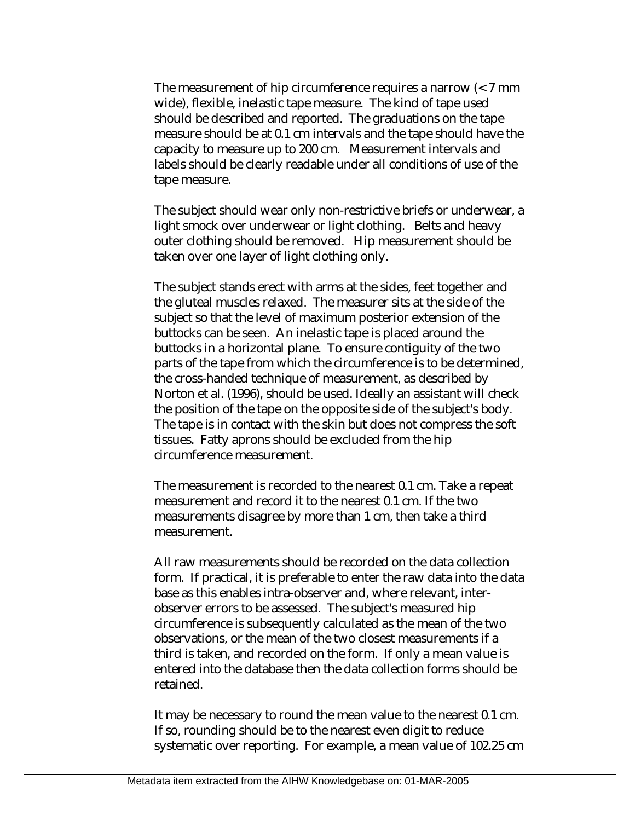The measurement of hip circumference requires a narrow (< 7 mm wide), flexible, inelastic tape measure. The kind of tape used should be described and reported. The graduations on the tape measure should be at 0.1 cm intervals and the tape should have the capacity to measure up to 200 cm. Measurement intervals and labels should be clearly readable under all conditions of use of the tape measure.

The subject should wear only non-restrictive briefs or underwear, a light smock over underwear or light clothing. Belts and heavy outer clothing should be removed. Hip measurement should be taken over one layer of light clothing only.

The subject stands erect with arms at the sides, feet together and the gluteal muscles relaxed. The measurer sits at the side of the subject so that the level of maximum posterior extension of the buttocks can be seen. An inelastic tape is placed around the buttocks in a horizontal plane. To ensure contiguity of the two parts of the tape from which the circumference is to be determined, the cross-handed technique of measurement, as described by Norton et al. (1996), should be used. Ideally an assistant will check the position of the tape on the opposite side of the subject's body. The tape is in contact with the skin but does not compress the soft tissues. Fatty aprons should be excluded from the hip circumference measurement.

The measurement is recorded to the nearest 0.1 cm. Take a repeat measurement and record it to the nearest 0.1 cm. If the two measurements disagree by more than 1 cm, then take a third measurement.

All raw measurements should be recorded on the data collection form. If practical, it is preferable to enter the raw data into the data base as this enables intra-observer and, where relevant, interobserver errors to be assessed. The subject's measured hip circumference is subsequently calculated as the mean of the two observations, or the mean of the two closest measurements if a third is taken, and recorded on the form. If only a mean value is entered into the database then the data collection forms should be retained.

It may be necessary to round the mean value to the nearest 0.1 cm. If so, rounding should be to the nearest even digit to reduce systematic over reporting. For example, a mean value of 102.25 cm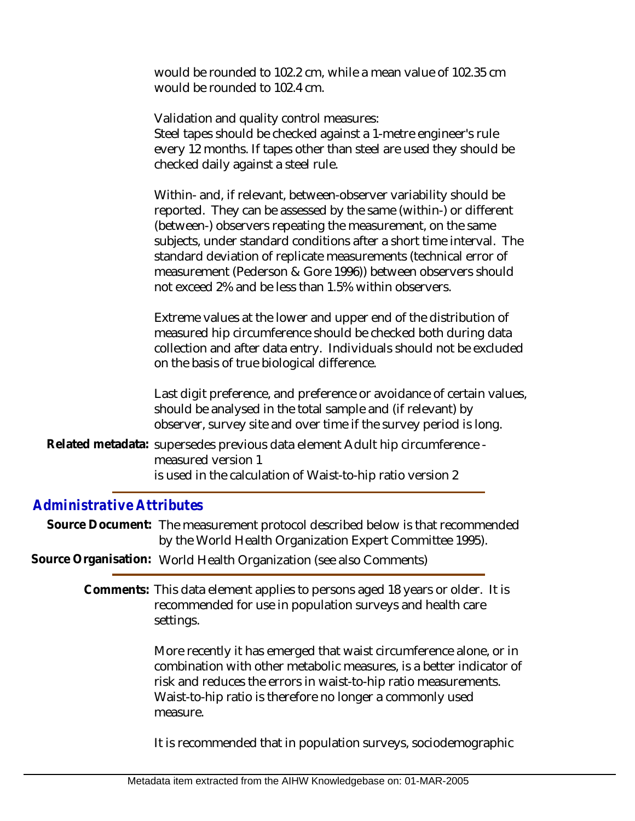would be rounded to 102.2 cm, while a mean value of 102.35 cm would be rounded to 102.4 cm.

Validation and quality control measures: Steel tapes should be checked against a 1-metre engineer's rule every 12 months. If tapes other than steel are used they should be checked daily against a steel rule. Within- and, if relevant, between-observer variability should be reported. They can be assessed by the same (within-) or different (between-) observers repeating the measurement, on the same subjects, under standard conditions after a short time interval. The standard deviation of replicate measurements (technical error of measurement (Pederson & Gore 1996)) between observers should not exceed 2% and be less than 1.5% within observers. Extreme values at the lower and upper end of the distribution of measured hip circumference should be checked both during data collection and after data entry. Individuals should not be excluded on the basis of true biological difference. Last digit preference, and preference or avoidance of certain values, should be analysed in the total sample and (if relevant) by observer, survey site and over time if the survey period is long. Related metadata: supersedes previous data element Adult hip circumference measured version 1 is used in the calculation of Waist-to-hip ratio version 2

## *Administrative Attributes*

Source Document: The measurement protocol described below is that recommended by the World Health Organization Expert Committee 1995).

**Source Organisation:** World Health Organization (see also Comments)

Comments: This data element applies to persons aged 18 years or older. It is recommended for use in population surveys and health care settings.

> More recently it has emerged that waist circumference alone, or in combination with other metabolic measures, is a better indicator of risk and reduces the errors in waist-to-hip ratio measurements. Waist-to-hip ratio is therefore no longer a commonly used measure.

It is recommended that in population surveys, sociodemographic